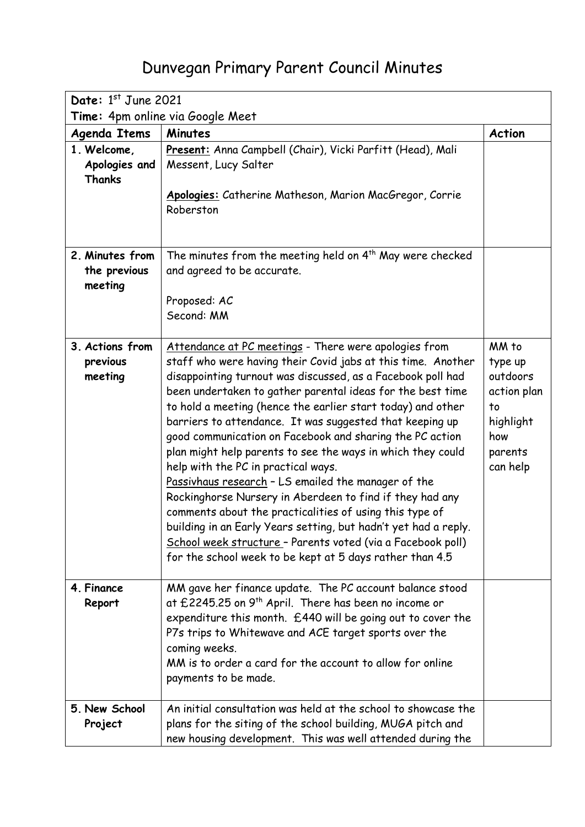## Dunvegan Primary Parent Council Minutes

| Date: 1st June 2021                        |                                                                                                                                                                                                                                                                                                                                                                                                                                                                                                                                                                                                                                                                                                                                                                                                                                                                                                                             |                                                                                              |  |  |
|--------------------------------------------|-----------------------------------------------------------------------------------------------------------------------------------------------------------------------------------------------------------------------------------------------------------------------------------------------------------------------------------------------------------------------------------------------------------------------------------------------------------------------------------------------------------------------------------------------------------------------------------------------------------------------------------------------------------------------------------------------------------------------------------------------------------------------------------------------------------------------------------------------------------------------------------------------------------------------------|----------------------------------------------------------------------------------------------|--|--|
| Time: 4pm online via Google Meet           |                                                                                                                                                                                                                                                                                                                                                                                                                                                                                                                                                                                                                                                                                                                                                                                                                                                                                                                             |                                                                                              |  |  |
| <b>Agenda Items</b>                        | <b>Minutes</b>                                                                                                                                                                                                                                                                                                                                                                                                                                                                                                                                                                                                                                                                                                                                                                                                                                                                                                              | <b>Action</b>                                                                                |  |  |
| 1. Welcome,<br>Apologies and<br>Thanks     | Present: Anna Campbell (Chair), Vicki Parfitt (Head), Mali<br>Messent, Lucy Salter<br>Apologies: Catherine Matheson, Marion MacGregor, Corrie<br>Roberston                                                                                                                                                                                                                                                                                                                                                                                                                                                                                                                                                                                                                                                                                                                                                                  |                                                                                              |  |  |
| 2. Minutes from<br>the previous<br>meeting | The minutes from the meeting held on 4 <sup>th</sup> May were checked<br>and agreed to be accurate.<br>Proposed: AC<br>Second: MM                                                                                                                                                                                                                                                                                                                                                                                                                                                                                                                                                                                                                                                                                                                                                                                           |                                                                                              |  |  |
| 3. Actions from<br>previous<br>meeting     | Attendance at PC meetings - There were apologies from<br>staff who were having their Covid jabs at this time. Another<br>disappointing turnout was discussed, as a Facebook poll had<br>been undertaken to gather parental ideas for the best time<br>to hold a meeting (hence the earlier start today) and other<br>barriers to attendance. It was suggested that keeping up<br>good communication on Facebook and sharing the PC action<br>plan might help parents to see the ways in which they could<br>help with the PC in practical ways.<br>Passivhaus research - LS emailed the manager of the<br>Rockinghorse Nursery in Aberdeen to find if they had any<br>comments about the practicalities of using this type of<br>building in an Early Years setting, but hadn't yet had a reply.<br>School week structure - Parents voted (via a Facebook poll)<br>for the school week to be kept at 5 days rather than 4.5 | MM to<br>type up<br>outdoors<br>action plan<br>to<br>highlight<br>how<br>parents<br>can help |  |  |
| 4. Finance<br>Report                       | MM gave her finance update. The PC account balance stood<br>at £2245.25 on 9 <sup>th</sup> April. There has been no income or<br>expenditure this month. £440 will be going out to cover the<br>P7s trips to Whitewave and ACE target sports over the<br>coming weeks.<br>MM is to order a card for the account to allow for online<br>payments to be made.                                                                                                                                                                                                                                                                                                                                                                                                                                                                                                                                                                 |                                                                                              |  |  |
| 5. New School<br>Project                   | An initial consultation was held at the school to showcase the<br>plans for the siting of the school building, MUGA pitch and<br>new housing development. This was well attended during the                                                                                                                                                                                                                                                                                                                                                                                                                                                                                                                                                                                                                                                                                                                                 |                                                                                              |  |  |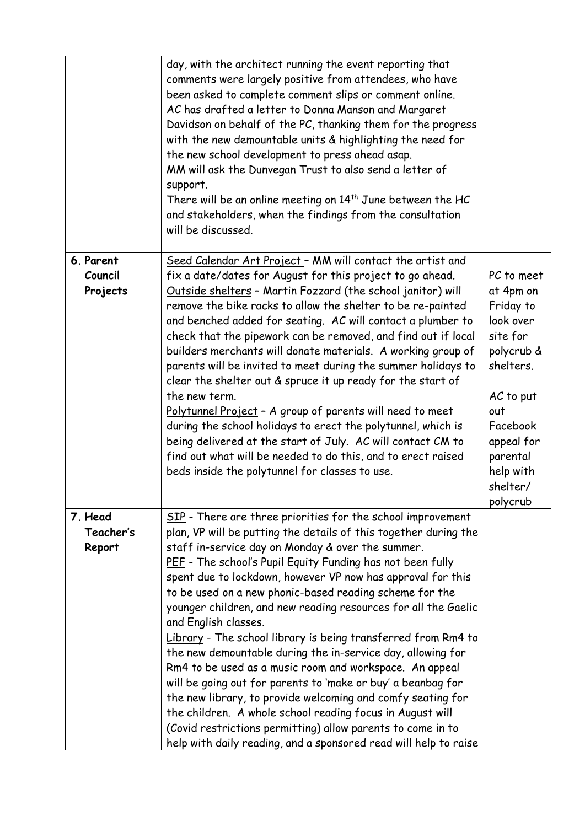|                                  | day, with the architect running the event reporting that<br>comments were largely positive from attendees, who have<br>been asked to complete comment slips or comment online.<br>AC has drafted a letter to Donna Manson and Margaret<br>Davidson on behalf of the PC, thanking them for the progress<br>with the new demountable units & highlighting the need for<br>the new school development to press ahead asap.<br>MM will ask the Dunvegan Trust to also send a letter of<br>support.<br>There will be an online meeting on $14^{th}$ June between the HC<br>and stakeholders, when the findings from the consultation<br>will be discussed.                                                                                                                                                                                                                                                                                                                                            |                                                                                                                                                                                         |
|----------------------------------|--------------------------------------------------------------------------------------------------------------------------------------------------------------------------------------------------------------------------------------------------------------------------------------------------------------------------------------------------------------------------------------------------------------------------------------------------------------------------------------------------------------------------------------------------------------------------------------------------------------------------------------------------------------------------------------------------------------------------------------------------------------------------------------------------------------------------------------------------------------------------------------------------------------------------------------------------------------------------------------------------|-----------------------------------------------------------------------------------------------------------------------------------------------------------------------------------------|
| 6. Parent<br>Council<br>Projects | Seed Calendar Art Project - MM will contact the artist and<br>fix a date/dates for August for this project to go ahead.<br>Outside shelters - Martin Fozzard (the school janitor) will<br>remove the bike racks to allow the shelter to be re-painted<br>and benched added for seating. AC will contact a plumber to<br>check that the pipework can be removed, and find out if local<br>builders merchants will donate materials. A working group of<br>parents will be invited to meet during the summer holidays to<br>clear the shelter out & spruce it up ready for the start of<br>the new term.<br>Polytunnel Project - A group of parents will need to meet<br>during the school holidays to erect the polytunnel, which is<br>being delivered at the start of July. AC will contact CM to<br>find out what will be needed to do this, and to erect raised<br>beds inside the polytunnel for classes to use.                                                                             | PC to meet<br>at 4pm on<br>Friday to<br>look over<br>site for<br>polycrub &<br>shelters.<br>AC to put<br>out<br>Facebook<br>appeal for<br>parental<br>help with<br>shelter/<br>polycrub |
| 7. Head<br>Teacher's<br>Report   | SIP - There are three priorities for the school improvement<br>plan, VP will be putting the details of this together during the<br>staff in-service day on Monday & over the summer.<br>PEF - The school's Pupil Equity Funding has not been fully<br>spent due to lockdown, however VP now has approval for this<br>to be used on a new phonic-based reading scheme for the<br>younger children, and new reading resources for all the Gaelic<br>and English classes.<br>Library - The school library is being transferred from Rm4 to<br>the new demountable during the in-service day, allowing for<br>Rm4 to be used as a music room and workspace. An appeal<br>will be going out for parents to 'make or buy' a beanbag for<br>the new library, to provide welcoming and comfy seating for<br>the children. A whole school reading focus in August will<br>(Covid restrictions permitting) allow parents to come in to<br>help with daily reading, and a sponsored read will help to raise |                                                                                                                                                                                         |